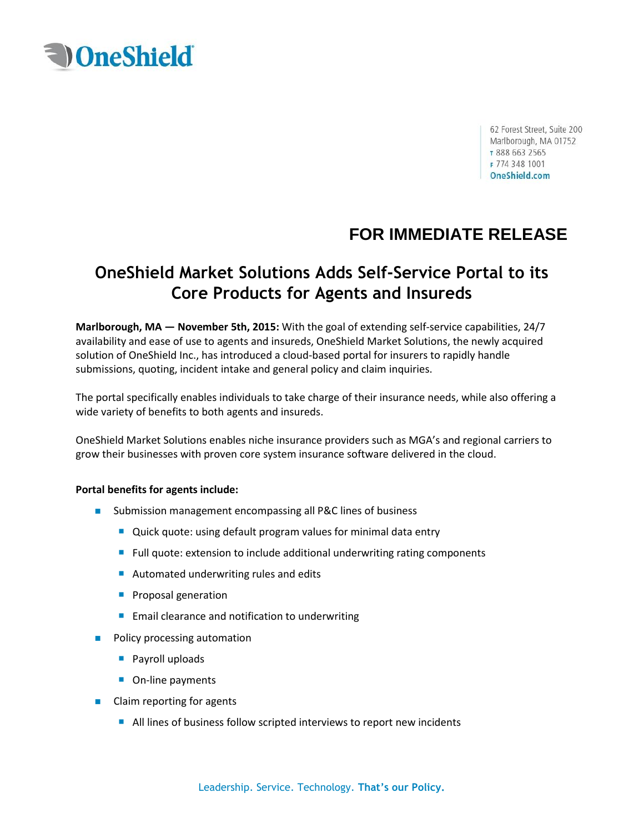

62 Forest Street, Suite 200 Marlborough, MA 01752 T 888 663 2565 F 774 348 1001 OneShield.com

# **FOR IMMEDIATE RELEASE**

# **OneShield Market Solutions Adds Self-Service Portal to its Core Products for Agents and Insureds**

**Marlborough, MA — November 5th, 2015:** With the goal of extending self-service capabilities, 24/7 availability and ease of use to agents and insureds, OneShield Market Solutions, the newly acquired solution of OneShield Inc., has introduced a cloud-based portal for insurers to rapidly handle submissions, quoting, incident intake and general policy and claim inquiries.

The portal specifically enables individuals to take charge of their insurance needs, while also offering a wide variety of benefits to both agents and insureds.

OneShield Market Solutions enables niche insurance providers such as MGA's and regional carriers to grow their businesses with proven core system insurance software delivered in the cloud.

### **Portal benefits for agents include:**

- Submission management encompassing all P&C lines of business
	- Quick quote: using default program values for minimal data entry
	- Full quote: extension to include additional underwriting rating components
	- Automated underwriting rules and edits
	- **Proposal generation**
	- $\blacksquare$  Email clearance and notification to underwriting
- **Policy processing automation** 
	- **Payroll uploads**
	- On-line payments
- Claim reporting for agents
	- All lines of business follow scripted interviews to report new incidents